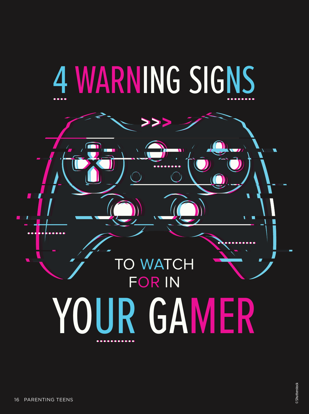# 4 WARNING SIGNS

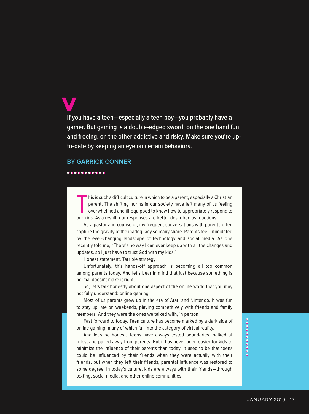**If you have a teen—especially a teen boy—you probably have a gamer. But gaming is a double-edged sword: on the one hand fun and freeing, on the other addictive and risky. Make sure you're upto-date by keeping an eye on certain behaviors.**

#### **BY GARRICK CONNER**

#### . . . . . . . . . . .

This is such a difficult culture in which to be a parent, especially a C<br>parent. The shifting norms in our society have left many of us<br>overwhelmed and ill-equipped to know how to appropriately res<br>our kids. As a result, o his is such a difficult culture in which to be a parent, especially a Christian parent. The shifting norms in our society have left many of us feeling overwhelmed and ill-equipped to know how to appropriately respond to

As a pastor and counselor, my frequent conversations with parents often capture the gravity of the inadequacy so many share. Parents feel intimidated by the ever-changing landscape of technology and social media. As one recently told me, "There's no way I can ever keep up with all the changes and updates, so I just have to trust God with my kids."

Honest statement. Terrible strategy.

Unfortunately, this hands-off approach is becoming all too common among parents today. And let's bear in mind that just because something is normal doesn't make it right.

So, let's talk honestly about one aspect of the online world that you may not fully understand: online gaming.

Most of us parents grew up in the era of Atari and Nintendo. It was fun to stay up late on weekends, playing competitively with friends and family members. And they were the ones we talked with, in person.

Fast forward to today. Teen culture has become marked by a dark side of online gaming, many of which fall into the category of virtual reality.

And let's be honest. Teens have always tested boundaries, balked at rules, and pulled away from parents. But it has never been easier for kids to minimize the influence of their parents than today. It used to be that teens could be influenced by their friends when they were actually with their friends, but when they left their friends, parental influence was restored to some degree. In today's culture, kids are always with their friends—through texting, social media, and other online communities.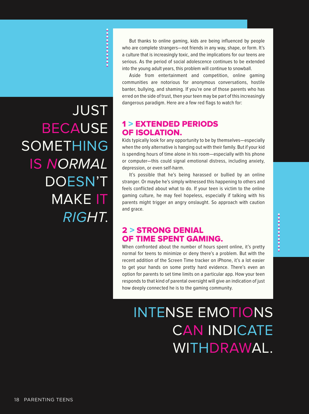JUST BECAUSE **SOMETHING** IS NORMAL DOESN'T MAKE IT RIGHT.

But thanks to online gaming, kids are being influenced by people who are complete strangers—not friends in any way, shape, or form. It's a culture that is increasingly toxic, and the implications for our teens are serious. As the period of social adolescence continues to be extended into the young adult years, this problem will continue to snowball.

Aside from entertainment and competition, online gaming communities are notorious for anonymous conversations, hostile banter, bullying, and shaming. If you're one of those parents who has erred on the side of trust, then your teen may be part of this increasingly dangerous paradigm. Here are a few red flags to watch for:

#### 1 > EXTENDED PERIODS OF ISOLATION.

Kids typically look for any opportunity to be by themselves—especially when the only alternative is hanging out with their family. But if your kid is spending hours of time alone in his room—especially with his phone or computer—this could signal emotional distress, including anxiety, depression, or even self-harm.

It's possible that he's being harassed or bullied by an online stranger. Or maybe he's simply witnessed this happening to others and feels conflicted about what to do. If your teen is victim to the online gaming culture, he may feel hopeless, especially if talking with his parents might trigger an angry onslaught. So approach with caution and grace.

#### 2 > STRONG DENIAL OF TIME SPENT GAMING.

When confronted about the number of hours spent online, it's pretty normal for teens to minimize or deny there's a problem. But with the recent addition of the Screen Time tracker on iPhone, it's a lot easier to get your hands on some pretty hard evidence. There's even an option for parents to set time limits on a particular app. How your teen responds to that kind of parental oversight will give an indication of just how deeply connected he is to the gaming community.

## INTENSE EMOTIONS CAN INDICATE WITHDRAWAL.